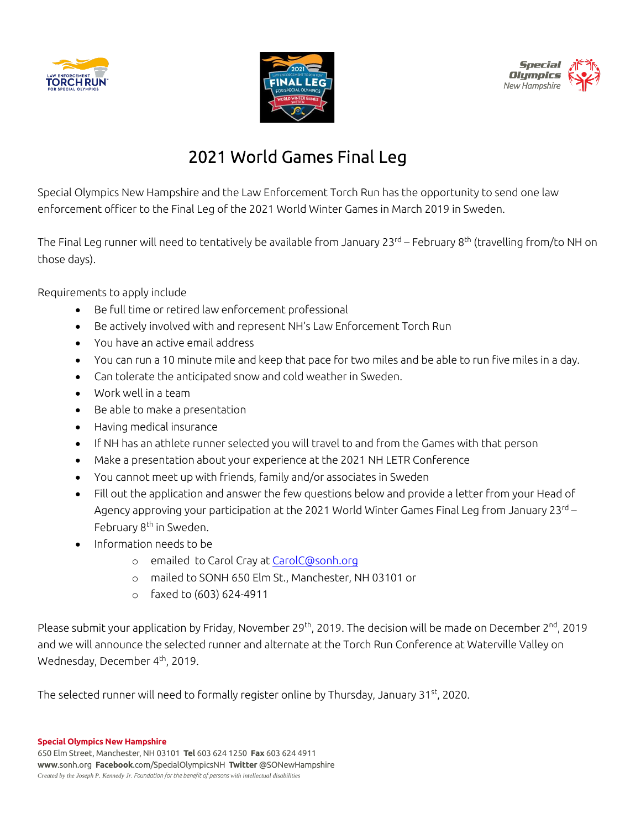





## 2021 World Games Final Leg

Special Olympics New Hampshire and the Law Enforcement Torch Run has the opportunity to send one law enforcement officer to the Final Leg of the 2021 World Winter Games in March 2019 in Sweden.

The Final Leg runner will need to tentatively be available from January 23<sup>rd</sup> – February 8<sup>th</sup> (travelling from/to NH on those days).

Requirements to apply include

- Be full time or retired law enforcement professional
- Be actively involved with and represent NH's Law Enforcement Torch Run
- You have an active email address
- You can run a 10 minute mile and keep that pace for two miles and be able to run five miles in a day.
- Can tolerate the anticipated snow and cold weather in Sweden.
- Work well in a team
- Be able to make a presentation
- Having medical insurance
- If NH has an athlete runner selected you will travel to and from the Games with that person
- Make a presentation about your experience at the 2021 NH LETR Conference
- You cannot meet up with friends, family and/or associates in Sweden
- Fill out the application and answer the few questions below and provide a letter from your Head of Agency approving your participation at the 2021 World Winter Games Final Leg from January 23<sup>rd</sup> – February 8<sup>th</sup> in Sweden.
- Information needs to be
	- o emailed to Carol Cray a[t CarolC@sonh.org](mailto:CarolC@sonh.org)
	- o mailed to SONH 650 Elm St., Manchester, NH 03101 or
	- o faxed to (603) 624-4911

Please submit your application by Friday, November 29<sup>th</sup>, 2019. The decision will be made on December 2<sup>nd</sup>, 2019 and we will announce the selected runner and alternate at the Torch Run Conference at Waterville Valley on Wednesday, December 4<sup>th</sup>, 2019.

The selected runner will need to formally register online by Thursday, January 31<sup>st</sup>, 2020.

**Special Olympics New Hampshire**

650 Elm Street, Manchester, NH 03101 **Tel** 603 624 1250 **Fax** 603 624 4911 **www**.sonh.org **Facebook**.com/SpecialOlympicsNH **Twitter** @SONewHampshire *Created by the Joseph P. Kennedy Jr. Foundation for the benefit of persons with intellectual disabilities*